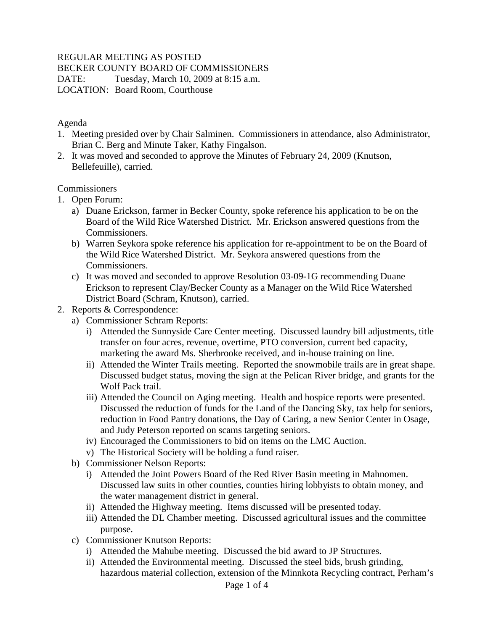# REGULAR MEETING AS POSTED

#### BECKER COUNTY BOARD OF COMMISSIONERS

DATE: Tuesday, March 10, 2009 at 8:15 a.m. LOCATION: Board Room, Courthouse

#### Agenda

- 1. Meeting presided over by Chair Salminen. Commissioners in attendance, also Administrator, Brian C. Berg and Minute Taker, Kathy Fingalson.
- 2. It was moved and seconded to approve the Minutes of February 24, 2009 (Knutson, Bellefeuille), carried.

### **Commissioners**

- 1. Open Forum:
	- a) Duane Erickson, farmer in Becker County, spoke reference his application to be on the Board of the Wild Rice Watershed District. Mr. Erickson answered questions from the Commissioners.
	- b) Warren Seykora spoke reference his application for re-appointment to be on the Board of the Wild Rice Watershed District. Mr. Seykora answered questions from the Commissioners.
	- c) It was moved and seconded to approve Resolution 03-09-1G recommending Duane Erickson to represent Clay/Becker County as a Manager on the Wild Rice Watershed District Board (Schram, Knutson), carried.
- 2. Reports & Correspondence:
	- a) Commissioner Schram Reports:
		- i) Attended the Sunnyside Care Center meeting. Discussed laundry bill adjustments, title transfer on four acres, revenue, overtime, PTO conversion, current bed capacity, marketing the award Ms. Sherbrooke received, and in-house training on line.
		- ii) Attended the Winter Trails meeting. Reported the snowmobile trails are in great shape. Discussed budget status, moving the sign at the Pelican River bridge, and grants for the Wolf Pack trail.
		- iii) Attended the Council on Aging meeting. Health and hospice reports were presented. Discussed the reduction of funds for the Land of the Dancing Sky, tax help for seniors, reduction in Food Pantry donations, the Day of Caring, a new Senior Center in Osage, and Judy Peterson reported on scams targeting seniors.
		- iv) Encouraged the Commissioners to bid on items on the LMC Auction.
		- v) The Historical Society will be holding a fund raiser.
	- b) Commissioner Nelson Reports:
		- i) Attended the Joint Powers Board of the Red River Basin meeting in Mahnomen. Discussed law suits in other counties, counties hiring lobbyists to obtain money, and the water management district in general.
		- ii) Attended the Highway meeting. Items discussed will be presented today.
		- iii) Attended the DL Chamber meeting. Discussed agricultural issues and the committee purpose.
	- c) Commissioner Knutson Reports:
		- i) Attended the Mahube meeting. Discussed the bid award to JP Structures.
		- ii) Attended the Environmental meeting. Discussed the steel bids, brush grinding, hazardous material collection, extension of the Minnkota Recycling contract, Perham's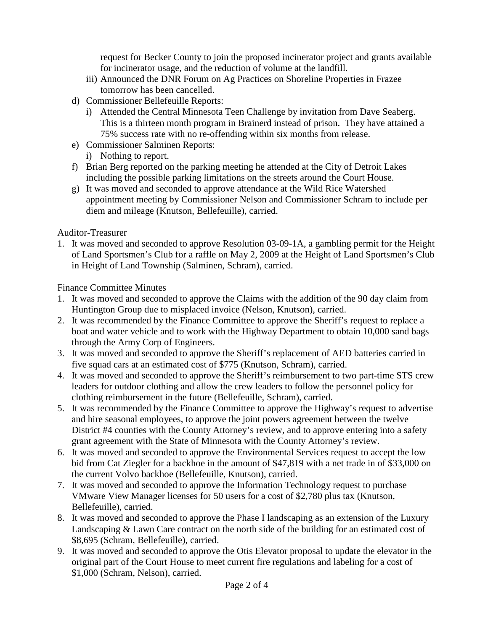request for Becker County to join the proposed incinerator project and grants available for incinerator usage, and the reduction of volume at the landfill.

- iii) Announced the DNR Forum on Ag Practices on Shoreline Properties in Frazee tomorrow has been cancelled.
- d) Commissioner Bellefeuille Reports:
	- i) Attended the Central Minnesota Teen Challenge by invitation from Dave Seaberg. This is a thirteen month program in Brainerd instead of prison. They have attained a 75% success rate with no re-offending within six months from release.
- e) Commissioner Salminen Reports:
	- i) Nothing to report.
- f) Brian Berg reported on the parking meeting he attended at the City of Detroit Lakes including the possible parking limitations on the streets around the Court House.
- g) It was moved and seconded to approve attendance at the Wild Rice Watershed appointment meeting by Commissioner Nelson and Commissioner Schram to include per diem and mileage (Knutson, Bellefeuille), carried.

Auditor-Treasurer

1. It was moved and seconded to approve Resolution 03-09-1A, a gambling permit for the Height of Land Sportsmen's Club for a raffle on May 2, 2009 at the Height of Land Sportsmen's Club in Height of Land Township (Salminen, Schram), carried.

Finance Committee Minutes

- 1. It was moved and seconded to approve the Claims with the addition of the 90 day claim from Huntington Group due to misplaced invoice (Nelson, Knutson), carried.
- 2. It was recommended by the Finance Committee to approve the Sheriff's request to replace a boat and water vehicle and to work with the Highway Department to obtain 10,000 sand bags through the Army Corp of Engineers.
- 3. It was moved and seconded to approve the Sheriff's replacement of AED batteries carried in five squad cars at an estimated cost of \$775 (Knutson, Schram), carried.
- 4. It was moved and seconded to approve the Sheriff's reimbursement to two part-time STS crew leaders for outdoor clothing and allow the crew leaders to follow the personnel policy for clothing reimbursement in the future (Bellefeuille, Schram), carried.
- 5. It was recommended by the Finance Committee to approve the Highway's request to advertise and hire seasonal employees, to approve the joint powers agreement between the twelve District #4 counties with the County Attorney's review, and to approve entering into a safety grant agreement with the State of Minnesota with the County Attorney's review.
- 6. It was moved and seconded to approve the Environmental Services request to accept the low bid from Cat Ziegler for a backhoe in the amount of \$47,819 with a net trade in of \$33,000 on the current Volvo backhoe (Bellefeuille, Knutson), carried.
- 7. It was moved and seconded to approve the Information Technology request to purchase VMware View Manager licenses for 50 users for a cost of \$2,780 plus tax (Knutson, Bellefeuille), carried.
- 8. It was moved and seconded to approve the Phase I landscaping as an extension of the Luxury Landscaping & Lawn Care contract on the north side of the building for an estimated cost of \$8,695 (Schram, Bellefeuille), carried.
- 9. It was moved and seconded to approve the Otis Elevator proposal to update the elevator in the original part of the Court House to meet current fire regulations and labeling for a cost of \$1,000 (Schram, Nelson), carried.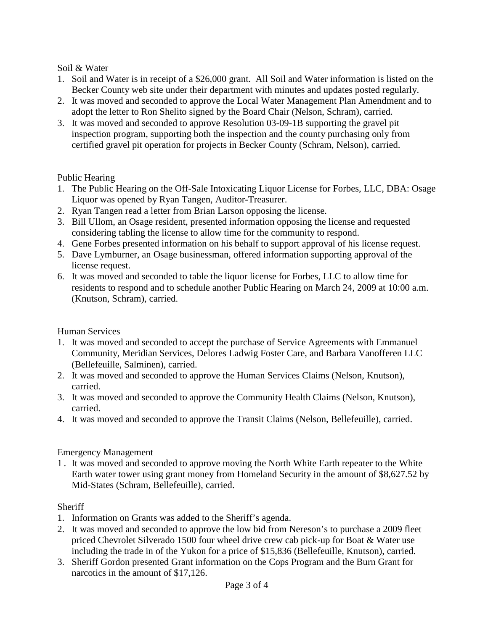# Soil & Water

- 1. Soil and Water is in receipt of a \$26,000 grant. All Soil and Water information is listed on the Becker County web site under their department with minutes and updates posted regularly.
- 2. It was moved and seconded to approve the Local Water Management Plan Amendment and to adopt the letter to Ron Shelito signed by the Board Chair (Nelson, Schram), carried.
- 3. It was moved and seconded to approve Resolution 03-09-1B supporting the gravel pit inspection program, supporting both the inspection and the county purchasing only from certified gravel pit operation for projects in Becker County (Schram, Nelson), carried.

# Public Hearing

- 1. The Public Hearing on the Off-Sale Intoxicating Liquor License for Forbes, LLC, DBA: Osage Liquor was opened by Ryan Tangen, Auditor-Treasurer.
- 2. Ryan Tangen read a letter from Brian Larson opposing the license.
- 3. Bill Ullom, an Osage resident, presented information opposing the license and requested considering tabling the license to allow time for the community to respond.
- 4. Gene Forbes presented information on his behalf to support approval of his license request.
- 5. Dave Lymburner, an Osage businessman, offered information supporting approval of the license request.
- 6. It was moved and seconded to table the liquor license for Forbes, LLC to allow time for residents to respond and to schedule another Public Hearing on March 24, 2009 at 10:00 a.m. (Knutson, Schram), carried.

### Human Services

- 1. It was moved and seconded to accept the purchase of Service Agreements with Emmanuel Community, Meridian Services, Delores Ladwig Foster Care, and Barbara Vanofferen LLC (Bellefeuille, Salminen), carried.
- 2. It was moved and seconded to approve the Human Services Claims (Nelson, Knutson), carried.
- 3. It was moved and seconded to approve the Community Health Claims (Nelson, Knutson), carried.
- 4. It was moved and seconded to approve the Transit Claims (Nelson, Bellefeuille), carried.

# Emergency Management

1 . It was moved and seconded to approve moving the North White Earth repeater to the White Earth water tower using grant money from Homeland Security in the amount of \$8,627.52 by Mid-States (Schram, Bellefeuille), carried.

# Sheriff

- 1. Information on Grants was added to the Sheriff's agenda.
- 2. It was moved and seconded to approve the low bid from Nereson's to purchase a 2009 fleet priced Chevrolet Silverado 1500 four wheel drive crew cab pick-up for Boat & Water use including the trade in of the Yukon for a price of \$15,836 (Bellefeuille, Knutson), carried.
- 3. Sheriff Gordon presented Grant information on the Cops Program and the Burn Grant for narcotics in the amount of \$17,126.